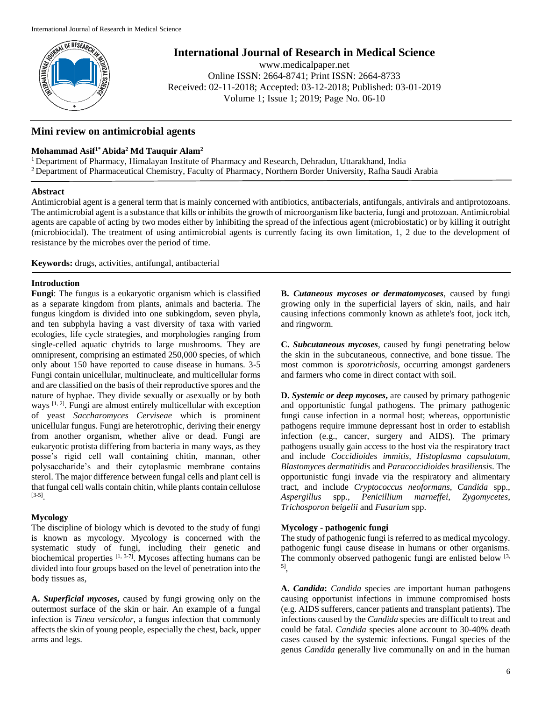

# **International Journal of Research in Medical Science**

www.medicalpaper.net Online ISSN: 2664-8741; Print ISSN: 2664-8733 Received: 02-11-2018; Accepted: 03-12-2018; Published: 03-01-2019 Volume 1; Issue 1; 2019; Page No. 06-10

## **Mini review on antimicrobial agents**

## **Mohammad Asif1\* Abida<sup>2</sup> Md Tauquir Alam<sup>2</sup>**

<sup>1</sup> Department of Pharmacy, Himalayan Institute of Pharmacy and Research, Dehradun, Uttarakhand, India <sup>2</sup> Department of Pharmaceutical Chemistry, Faculty of Pharmacy, Northern Border University, Rafha Saudi Arabia

## **Abstract**

Antimicrobial agent is a general term that is mainly concerned with antibiotics, antibacterials, antifungals, antivirals and antiprotozoans. The antimicrobial agent is a substance that kills or inhibits the growth of microorganism like bacteria, fungi and protozoan. Antimicrobial agents are capable of acting by two modes either by inhibiting the spread of the infectious agent (microbiostatic) or by killing it outright (microbiocidal). The treatment of using antimicrobial agents is currently facing its own limitation, 1, 2 due to the development of resistance by the microbes over the period of time.

**Keywords:** drugs, activities, antifungal, antibacterial

### **Introduction**

**Fungi**: The fungus is a eukaryotic organism which is classified as a separate kingdom from plants, animals and bacteria. The fungus kingdom is divided into one subkingdom, seven phyla, and ten subphyla having a vast diversity of taxa with varied ecologies, life cycle strategies, and morphologies ranging from single-celled aquatic chytrids to large mushrooms. They are omnipresent, comprising an estimated 250,000 species, of which only about 150 have reported to cause disease in humans. 3-5 Fungi contain unicellular, multinucleate, and multicellular forms and are classified on the basis of their reproductive spores and the nature of hyphae. They divide sexually or asexually or by both ways  $[1, 2]$ . Fungi are almost entirely multicellular with exception of yeast *Saccharomyces Cerviseae* which is prominent unicellular fungus. Fungi are heterotrophic, deriving their energy from another organism, whether alive or dead. Fungi are eukaryotic protista differing from bacteria in many ways, as they posse's rigid cell wall containing chitin, mannan, other polysaccharide's and their cytoplasmic membrane contains sterol. The major difference between fungal cells and plant cell is that fungal cell walls contain chitin, while plants contain cellulose [3-5] .

## **Mycology**

The discipline of biology which is devoted to the study of fungi is known as mycology. Mycology is concerned with the systematic study of fungi, including their genetic and biochemical properties  $[1, 3-7]$ . Mycoses affecting humans can be divided into four groups based on the level of penetration into the body tissues as,

**A.** *Superficial mycoses***,** caused by fungi growing only on the outermost surface of the skin or hair. An example of a fungal infection is *Tinea versicolor*, a fungus infection that commonly affects the skin of young people, especially the chest, back, upper arms and legs.

**B.** *Cutaneous mycoses or dermatomycoses*, caused by fungi growing only in the superficial layers of skin, nails, and hair causing infections commonly known as athlete's foot, jock itch, and ringworm.

**C.** *Subcutaneous mycoses*, caused by fungi penetrating below the skin in the subcutaneous, connective, and bone tissue. The most common is *sporotrichosis*, occurring amongst gardeners and farmers who come in direct contact with soil.

**D.** *Systemic or deep mycoses***,** are caused by primary pathogenic and opportunistic fungal pathogens. The primary pathogenic fungi cause infection in a normal host; whereas, opportunistic pathogens require immune depressant host in order to establish infection (e.g., cancer, surgery and AIDS). The primary pathogens usually gain access to the host via the respiratory tract and include *Coccidioides immitis, Histoplasma capsulatum, Blastomyces dermatitidis* and *Paracoccidioides brasiliensis*. The opportunistic fungi invade via the respiratory and alimentary tract, and include *Cryptococcus neoformans, Candida* spp., *Aspergillus* spp., *Penicillium marneffei*, *Zygomycetes*, *Trichosporon beigelii* and *Fusarium* spp.

#### **Mycology** - **pathogenic fungi**

The study of pathogenic fungi is referred to as medical mycology. pathogenic fungi cause disease in humans or other organisms. The commonly observed pathogenic fungi are enlisted below  $[3, 3]$ 5] ,

**A.** *Candida***:** *Candida* species are important human pathogens causing opportunist infections in immune compromised hosts (e.g. AIDS sufferers, cancer patients and transplant patients). The infections caused by the *Candida* species are difficult to treat and could be fatal. *Candida* species alone account to 30-40% death cases caused by the systemic infections. Fungal species of the genus *Candida* generally live communally on and in the human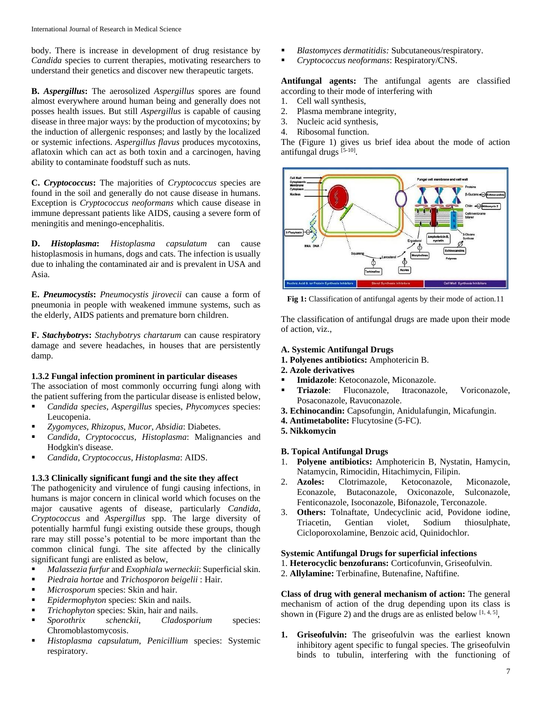body. There is increase in development of drug resistance by *Candida* species to current therapies, motivating researchers to understand their genetics and discover new therapeutic targets.

**B.** *Aspergillus***:** The aerosolized *Aspergillus* spores are found almost everywhere around human being and generally does not posses health issues. But still *Aspergillus* is capable of causing disease in three major ways: by the production of mycotoxins; by the induction of allergenic responses; and lastly by the localized or systemic infections. *Aspergillus flavus* produces mycotoxins, aflatoxin which can act as both toxin and a carcinogen, having ability to contaminate foodstuff such as nuts.

**C.** *Cryptococcus***:** The majorities of *Cryptococcus* species are found in the soil and generally do not cause disease in humans. Exception is *Cryptococcus neoformans* which cause disease in immune depressant patients like AIDS, causing a severe form of meningitis and meningo-encephalitis.

**D.** *Histoplasma***:** *Histoplasma capsulatum* can cause histoplasmosis in humans, dogs and cats. The infection is usually due to inhaling the contaminated air and is prevalent in USA and Asia.

**E.** *Pneumocystis***:** *Pneumocystis jirovecii* can cause a form of pneumonia in people with weakened immune systems, such as the elderly, AIDS patients and premature born children.

**F.** *Stachybotrys***:** *Stachybotrys chartarum* can cause respiratory damage and severe headaches, in houses that are persistently damp.

#### **1.3.2 Fungal infection prominent in particular diseases**

The association of most commonly occurring fungi along with the patient suffering from the particular disease is enlisted below,

- *Candida species*, *Aspergillus* species, *Phycomyces* species: Leucopenia.
- *Zygomyces*, *Rhizopus*, *Mucor*, *Absidia*: Diabetes.
- *Candida*, *Cryptococcus*, *Histoplasma*: Malignancies and Hodgkin's disease.
- *Candida*, *Cryptococcus*, *Histoplasma*: AIDS.

## **1.3.3 Clinically significant fungi and the site they affect**

The pathogenicity and virulence of fungi causing infections, in humans is major concern in clinical world which focuses on the major causative agents of disease, particularly *Candida*, *Cryptococcus* and *Aspergillus* spp. The large diversity of potentially harmful fungi existing outside these groups, though rare may still posse's potential to be more important than the common clinical fungi. The site affected by the clinically significant fungi are enlisted as below,

- *Malassezia furfur* and *Exophiala werneckii*: Superficial skin.
- *Piedraia hortae* and *Trichosporon beigelii* : Hair.
- *Microsporum* species: Skin and hair.
- *Epidermophyton* species: Skin and nails.
- *Trichophyton* species: Skin, hair and nails.
- *Sporothrix schenckii*, *Cladosporium* species: Chromoblastomycosis.
- *Histoplasma capsulatum*, *Penicillium* species: Systemic respiratory.
- *Blastomyces dermatitidis:* Subcutaneous/respiratory.
- *Cryptococcus neoformans*: Respiratory/CNS.

**Antifungal agents:** The antifungal agents are classified according to their mode of interfering with

- 1. Cell wall synthesis,
- 2. Plasma membrane integrity,
- 3. Nucleic acid synthesis,
- 4. Ribosomal function.

The (Figure 1) gives us brief idea about the mode of action antifungal drugs [5-10].



**Fig 1:** Classification of antifungal agents by their mode of action.11

The classification of antifungal drugs are made upon their mode of action, viz.,

## **A. Systemic Antifungal Drugs**

- **1. Polyenes antibiotics:** Amphotericin B.
- **2. Azole derivatives**
- **Imidazole**: Ketoconazole, Miconazole.
- **Triazole**: Fluconazole, Itraconazole, Voriconazole, Posaconazole, Ravuconazole.
- **3. Echinocandin:** Capsofungin, Anidulafungin, Micafungin.
- **4. Antimetabolite:** Flucytosine (5-FC).
- **5. Nikkomycin**

#### **B. Topical Antifungal Drugs**

- 1. **Polyene antibiotics:** Amphotericin B, Nystatin, Hamycin, Natamycin, Rimocidin, Hitachimycin, Filipin.
- 2. **Azoles:** Clotrimazole, Ketoconazole, Miconazole, Econazole, Butaconazole, Oxiconazole, Sulconazole, Fenticonazole, Isoconazole, Bifonazole, Terconazole.
- 3. **Others:** Tolnaftate, Undecyclinic acid, Povidone iodine, Triacetin, Gentian violet, Sodium thiosulphate, Cicloporoxolamine, Benzoic acid, Quinidochlor.

#### **Systemic Antifungal Drugs for superficial infections**

- 1. **Heterocyclic benzofurans:** Corticofunvin, Griseofulvin.
- 2. **Allylamine:** Terbinafine, Butenafine, Naftifine.

**Class of drug with general mechanism of action:** The general mechanism of action of the drug depending upon its class is shown in (Figure 2) and the drugs are as enlisted below  $[1, 4, 5]$ ,

**1. Griseofulvin:** The griseofulvin was the earliest known inhibitory agent specific to fungal species. The griseofulvin binds to tubulin, interfering with the functioning of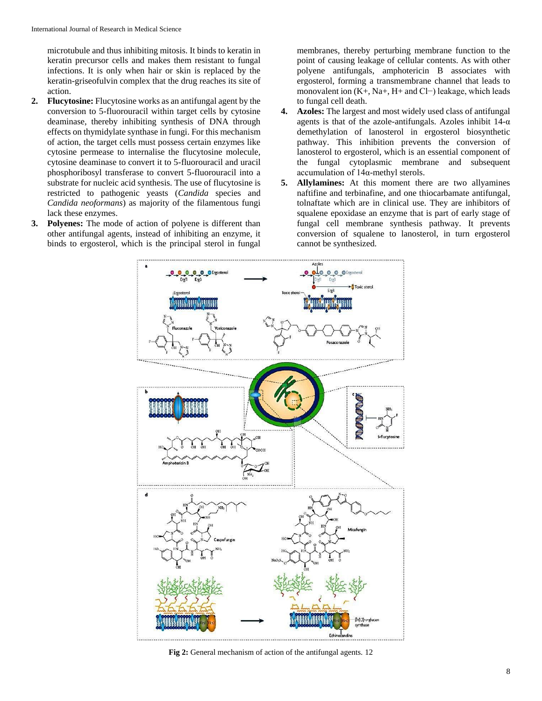microtubule and thus inhibiting mitosis. It binds to keratin in keratin precursor cells and makes them resistant to fungal infections. It is only when hair or skin is replaced by the keratin-griseofulvin complex that the drug reaches its site of action.

- **2. Flucytosine:** Flucytosine works as an antifungal agent by the conversion to 5-fluorouracil within target cells by cytosine deaminase, thereby inhibiting synthesis of DNA through effects on thymidylate synthase in fungi. For this mechanism of action, the target cells must possess certain enzymes like cytosine permease to internalise the flucytosine molecule, cytosine deaminase to convert it to 5-fluorouracil and uracil phosphoribosyl transferase to convert 5-fluorouracil into a substrate for nucleic acid synthesis. The use of flucytosine is restricted to pathogenic yeasts (*Candida* species and *Candida neoformans*) as majority of the filamentous fungi lack these enzymes.
- **3. Polyenes:** The mode of action of polyene is different than other antifungal agents, instead of inhibiting an enzyme, it binds to ergosterol, which is the principal sterol in fungal

membranes, thereby perturbing membrane function to the point of causing leakage of cellular contents. As with other polyene antifungals, amphotericin B associates with ergosterol, forming a transmembrane channel that leads to monovalent ion (K+, Na+, H+ and Cl−) leakage, which leads to fungal cell death.

- **4. Azoles:** The largest and most widely used class of antifungal agents is that of the azole-antifungals. Azoles inhibit  $14-\alpha$ demethylation of lanosterol in ergosterol biosynthetic pathway. This inhibition prevents the conversion of lanosterol to ergosterol, which is an essential component of the fungal cytoplasmic membrane and subsequent accumulation of 14α-methyl sterols.
- **5. Allylamines:** At this moment there are two allyamines naftifine and terbinafine, and one thiocarbamate antifungal, tolnaftate which are in clinical use. They are inhibitors of squalene epoxidase an enzyme that is part of early stage of fungal cell membrane synthesis pathway. It prevents conversion of squalene to lanosterol, in turn ergosterol cannot be synthesized.



**Fig 2:** General mechanism of action of the antifungal agents. 12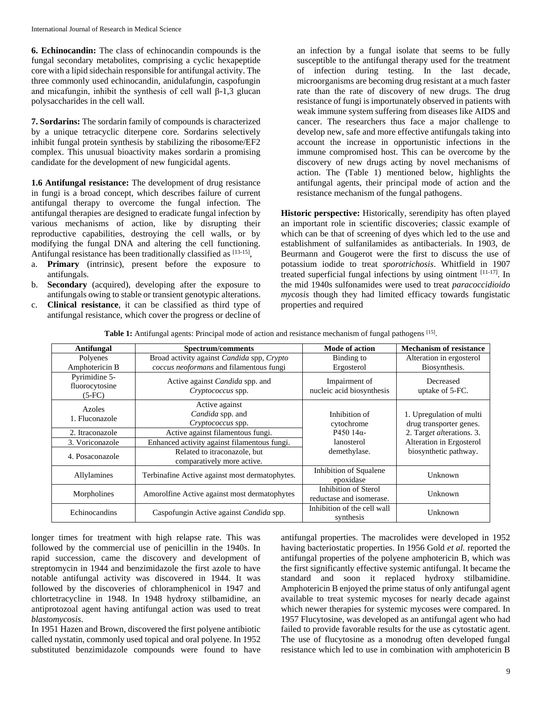**6. Echinocandin:** The class of echinocandin compounds is the fungal secondary metabolites, comprising a cyclic hexapeptide core with a lipid sidechain responsible for antifungal activity. The three commonly used echinocandin, anidulafungin, caspofungin and micafungin, inhibit the synthesis of cell wall  $\beta$ -1,3 glucan polysaccharides in the cell wall.

**7. Sordarins:** The sordarin family of compounds is characterized by a unique tetracyclic diterpene core. Sordarins selectively inhibit fungal protein synthesis by stabilizing the ribosome/EF2 complex. This unusual bioactivity makes sordarin a promising candidate for the development of new fungicidal agents.

**1.6 Antifungal resistance:** The development of drug resistance in fungi is a broad concept, which describes failure of current antifungal therapy to overcome the fungal infection. The antifungal therapies are designed to eradicate fungal infection by various mechanisms of action, like by disrupting their reproductive capabilities, destroying the cell walls, or by modifying the fungal DNA and altering the cell functioning. Antifungal resistance has been traditionally classified as [13-15],

- a. **Primary** (intrinsic), present before the exposure to antifungals.
- b. **Secondary** (acquired), developing after the exposure to antifungals owing to stable or transient genotypic alterations.
- c. **Clinical resistance**, it can be classified as third type of antifungal resistance, which cover the progress or decline of

an infection by a fungal isolate that seems to be fully susceptible to the antifungal therapy used for the treatment of infection during testing. In the last decade, microorganisms are becoming drug resistant at a much faster rate than the rate of discovery of new drugs. The drug resistance of fungi is importunately observed in patients with weak immune system suffering from diseases like AIDS and cancer. The researchers thus face a major challenge to develop new, safe and more effective antifungals taking into account the increase in opportunistic infections in the immune compromised host. This can be overcome by the discovery of new drugs acting by novel mechanisms of action. The (Table 1) mentioned below, highlights the antifungal agents, their principal mode of action and the resistance mechanism of the fungal pathogens.

**Historic perspective:** Historically, serendipity has often played an important role in scientific discoveries; classic example of which can be that of screening of dyes which led to the use and establishment of sulfanilamides as antibacterials. In 1903, de Beurmann and Gougerot were the first to discuss the use of potassium iodide to treat *sporotrichosis*. Whitfield in 1907 treated superficial fungal infections by using ointment [11-17]. In the mid 1940s sulfonamides were used to treat *paracoccidioido mycosis* though they had limited efficacy towards fungistatic properties and required

| Antifungal                                  | Spectrum/comments                                                  | <b>Mode of action</b>                            | <b>Mechanism of resistance</b>                      |
|---------------------------------------------|--------------------------------------------------------------------|--------------------------------------------------|-----------------------------------------------------|
| Polyenes                                    | Broad activity against <i>Candida</i> spp, <i>Crypto</i>           | Binding to                                       | Alteration in ergosterol                            |
| Amphotericin B                              | coccus neoformans and filamentous fungi                            | Ergosterol                                       | Biosynthesis.                                       |
| Pyrimidine 5-<br>fluorocytosine<br>$(5-FC)$ | Active against <i>Candida</i> spp. and<br><i>Cryptococcus</i> spp. | Impairment of<br>nucleic acid biosynthesis       | Decreased<br>uptake of 5-FC.                        |
| Azoles<br>1. Fluconazole                    | Active against<br>Candida spp. and<br>Cryptococcus spp.            | Inhibition of<br>cytochrome                      | 1. Upregulation of multi<br>drug transporter genes. |
| 2. Itraconazole                             | Active against filamentous fungi.                                  | P450 $14\alpha$                                  | 2. Target alterations. 3.                           |
| 3. Voriconazole                             | Enhanced activity against filamentous fungi.                       | lanosterol                                       | Alteration in Ergosterol                            |
| 4. Posaconazole                             | Related to itraconazole, but<br>comparatively more active.         | demethylase.                                     | biosynthetic pathway.                               |
| Allylamines                                 | Terbinafine Active against most dermatophytes.                     | Inhibition of Squalene<br>epoxidase              | Unknown                                             |
| Morpholines                                 | Amorolfine Active against most dermatophytes                       | Inhibition of Sterol<br>reductase and isomerase. | Unknown                                             |
| Echinocandins                               | Caspofungin Active against <i>Candida</i> spp.                     | Inhibition of the cell wall<br>synthesis         | Unknown                                             |

Table 1: Antifungal agents: Principal mode of action and resistance mechanism of fungal pathogens<sup>[15]</sup>.

longer times for treatment with high relapse rate. This was followed by the commercial use of penicillin in the 1940s. In rapid succession, came the discovery and development of streptomycin in 1944 and benzimidazole the first azole to have notable antifungal activity was discovered in 1944. It was followed by the discoveries of chloramphenicol in 1947 and chlortetracycline in 1948. In 1948 hydroxy stilbamidine, an antiprotozoal agent having antifungal action was used to treat *blastomycosis*.

In 1951 Hazen and Brown, discovered the first polyene antibiotic called nystatin, commonly used topical and oral polyene. In 1952 substituted benzimidazole compounds were found to have

antifungal properties. The macrolides were developed in 1952 having bacteriostatic properties. In 1956 Gold *et al.* reported the antifungal properties of the polyene amphotericin B, which was the first significantly effective systemic antifungal. It became the standard and soon it replaced hydroxy stilbamidine. Amphotericin B enjoyed the prime status of only antifungal agent available to treat systemic mycoses for nearly decade against which newer therapies for systemic mycoses were compared. In 1957 Flucytosine, was developed as an antifungal agent who had failed to provide favorable results for the use as cytostatic agent. The use of flucytosine as a monodrug often developed fungal resistance which led to use in combination with amphotericin B